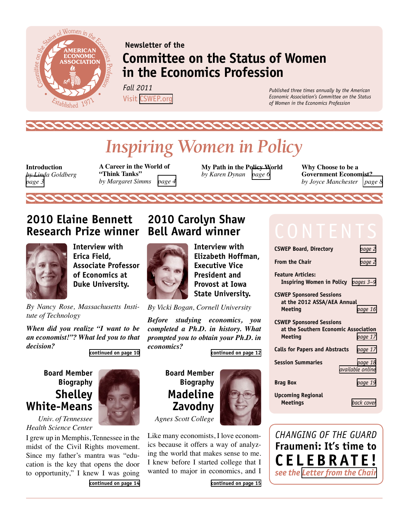<span id="page-0-0"></span>

### **Newsletter of the Committee on the Status of Women in the Economics Profession**

*Fall 2011*  Visit [CSWEP.org](http://www.aeaweb.org/committees/cswep/)

*Published three times annually by the American Economic Association's Committee on the Status of Women in the Economics Profession*

# *Inspiring Women in Policy*

**Introduction**  *by Linda Goldberg [page 3](#page-2-0)* 

**A Career in the World of "Think Tanks"** *by Margaret Simms [page 4](#page-3-0)*

**My Path in the Policy World**  *by Karen Dynan [page 6](#page-5-0)*

**Why Choose to be a Government Economist?**  *by Joyce Manchester [page 8](#page-7-0)*

### **2010 Elaine Bennett Research Prize winner**



**Interview with Erica Field, Associate Professor of Economics at Duke University.**

*By Nancy Rose, Massachusetts Institute of Technology*

*When did you realize "I want to be an economist!"? What led you to that decision?*

**[continued on page 10](#page-9-0)**

#### **Board Member Biography Shelley White-Means**

*Univ. of Tennessee Health Science Center*

I grew up in Memphis, Tennessee in the midst of the Civil Rights movement. Since my father's mantra was "education is the key that opens the door to opportunity," I knew I was going **[continued on page 14](#page-13-0)**



### **2010 Carolyn Shaw Bell Award winner**



**Interview with Elizabeth Hoffman, Executive Vice President and Provost at Iowa State University.**

*By Vicki Bogan, Cornell University*

*Before studying economics, you completed a Ph.D. in history. What prompted you to obtain your Ph.D. in economics?*

**[continued on page 12](#page-11-0)**

**Board Member Biography Madeline Zavodny**

*Agnes Scott College*

Like many economists, I love economics because it offers a way of analyzing the world that makes sense to me. I knew before I started college that I wanted to major in economics, and I



**From the Chair** *[page 2](#page-1-0)* **Feature Articles: Inspiring Women in Policy** *[pages 3–9](#page-2-0)* **CSWEP Sponsored Sessions** 

**CSWEP Board, Directory** *[page 2](#page-1-0)*

**at the 2012 ASSA/AEA Annual Meeting** *[page 16](#page-15-0)*

| <b>CSWEP Sponsored Sessions</b><br>at the Southern Economic Association |                                    |
|-------------------------------------------------------------------------|------------------------------------|
| <b>Meeting</b>                                                          | page 17                            |
| Calls for Papers and Abstracts                                          | page 17                            |
| Session Summaries                                                       | page 18<br><i>available</i> online |
| <b>Brag Box</b>                                                         | page 19                            |

**Upcoming Regional Meetings** *[back cover](#page-19-0)*



**[continued on page 15](#page-14-0)**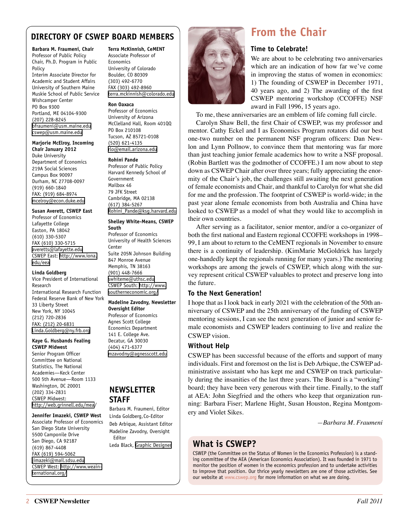#### <span id="page-1-0"></span>**DIRECTORY OF CSWEP BOARD MEMBERS**

**Barbara M. Fraumeni, Chair** Professor of Public Policy Chair, Ph.D. Program in Public Policy Interim Associate Director for Academic and Student Affairs University of Southern Maine Muskie School of Public Service Wishcamper Center PO Box 9300 Portland, ME 04104-9300 (207) 228-8245 [bfraumeni@usm.maine.edu](mailto:bfraumeni@usm.maine.edu) [cswep@usm.maine.edu](mailto:cswep@usm.maine.edu)

#### **Marjorie McElroy, Incoming**

**Chair January 2012** Duke University Department of Economics 219A Social Sciences Campus Box 90097 Durham, NC 27708-0097 (919) 660-1840 FAX: (919) 684-8974 [mcelroy@econ.duke.edu](mailto:mcelroy%40econ.duke.edu?subject=) 

#### **Susan Averett, CSWEP East**

Professor of Economics Lafayette College Easton, PA 18042 (610) 330-5307 FAX (610) 330-5715 [averetts@lafayette.edu](mailto:averetts@lafayette.edu) CSWEP East: [http://www.iona.](http://www.iona.edu/eea) [edu/eea](http://www.iona.edu/eea)

#### **Linda Goldberg**

Vice President of International Research International Research Function Federal Reserve Bank of New York 33 Liberty Street New York, NY 10045 (212) 720-2836 FAX: (212) 20-6831 [Linda.Goldberg@ny.frb.org](mailto:Linda.Goldberg@ny.frb.org)

#### **Kaye G. Husbands Fealing CSWEP Midwest**

Senior Program Officer Committee on National Statistics, The National Academies—Keck Center 500 5th Avenue—Room 1133 Washington, DC 20001 (202) 334-2831 CSWEP Midwest: [http://web.grinnell.edu/mea](http://web.grinnell.edu/mea/)/

### **Jennifer Imazeki, CSWEP West**

Associate Professor of Economics San Diego State University

5500 Camponile Drive San Diego, CA 92187 (619) 867-4408 FAX (619) 594-5062 [jimazeki@mail.sdsu.edu](mailto:jimazeki@mail.sdsu.edu) CSWEP West: [http://www.weain](http://www.weainternational.org/)[ternational.org/](http://www.weainternational.org/)

#### **Terra McKinnish, CeMENT**

Associate Professor of Economics University of Colorado Boulder, CO 80309 (303) 492-6770 FAX (303) 492-8960 [terra.mckinnish@colorado.edu](mailto:terra.mckinnish@colorado.edu)

#### **Ron Oaxaca**

Professor of Economics University of Arizona McClelland Hall, Room 401QQ PO Box 210108 Tucson, AZ 85721-0108 (520) 621-4135 [rlo@email.arizona.edu](mailto:rlo@email.arizona.edu)

#### **Rohini Pande**

Professor of Public Policy Harvard Kennedy School of Government Mailbox 46 79 JFK Street Cambridge, MA 02138 (617) 384-5267 [Rohini\\_Pande@ksg.harvard.edu](mailto:Rohini_Pande@ksg.harvard.edu)

#### **Shelley White-Means, CSWEP South**

Professor of Economics University of Health Sciences Center Suite 205N Johnson Building 847 Monroe Avenue Memphis, TN 38163 (901) 448-7666 [swhiteme@uthsc.edu](mailto:swhiteme%40uthsc.edu?subject=) CSWEP South: [http://www.](http://www.southerneconomic.org/) [southerneconomic.org/](http://www.southerneconomic.org/)

#### **Madeline Zavodny, Newsletter**

**Oversight Editor**  Professor of Economics Agnes Scott College Economics Department 141 E. College Ave. Decatur, GA 30030 (404) 471-6377

[mzavodny@agnesscott.edu](mailto:mzavodny%40agnesscott.edu?subject=)

#### **NEWSLETTER STAFF**

Barbara M. Fraumeni, Editor Linda Goldberg, Co-Editor Deb Arbique, Assistant Editor Madeline Zavodny, Oversight Editor

Leda Black, [Graphic Designer](http://lblackimp.com)



### **From the Chair**

#### **Time to Celebrate!**

We are about to be celebrating two anniversaries which are an indication of how far we've come in improving the status of women in economics: 1) The founding of CSWEP in December 1971, 40 years ago, and 2) The awarding of the first CSWEP mentoring workshop (CCOFFE) NSF award in Fall 1996, 15 years ago.

To me, these anniversaries are an emblem of life coming full circle.

Carolyn Shaw Bell, the first Chair of CSWEP, was my professor and mentor. Cathy Eckel and I as Economics Program rotators did our best one-two number on the permanent NSF program officers: Dan Newlon and Lynn Pollnow, to convince them that mentoring was far more than just teaching junior female academics how to write a NSF proposal. (Robin Bartlett was the godmother of CCOFFE.) I am now about to step down as CSWEP Chair after over three years; fully appreciating the enormity of the Chair's job, the challenges still awaiting the next generation of female economists and Chair, and thankful to Carolyn for what she did for me and the profession. The footprint of CSWEP is world-wide; in the past year alone female economists from both Australia and China have looked to CSWEP as a model of what they would like to accomplish in their own countries.

After serving as a facilitator, senior mentor, and/or a co-organizer of both the first national and Eastern regional CCOFFE workshops in 1998– 99, I am about to return to the CeMENT regionals in November to ensure there is a continuity of leadership. (KimMarie McGoldrick has largely one-handedly kept the regionals running for many years.) The mentoring workshops are among the jewels of CSWEP, which along with the survey represent critical CSWEP valuables to protect and preserve long into the future.

#### **To the Next Generation!**

I hope that as I look back in early 2021 with the celebration of the 50th anniversary of CSWEP and the 25th anniversary of the funding of CSWEP mentoring sessions, I can see the next generation of junior and senior female economists and CSWEP leaders continuing to live and realize the CSWEP vision.

#### **Without Help**

CSWEP has been successful because of the efforts and support of many individuals. First and foremost on the list is Deb Arbique, the CSWEP administrative assistant who has kept me and CSWEP on track particularly during the insanities of the last three years. The Board is a "working" board; they have been very generous with their time. Finally, to the staff at AEA: John Siegfried and the others who keep that organization running: Barbara Fiser; Marlene Hight, Susan Houston, Regina Montgomery and Violet Sikes.

*—Barbara M. Fraumeni*

#### **What is CSWEP?**

CSWEP (the Committee on the Status of Women in the Economics Profession) is a standing committee of the AEA (American Economics Association). It was founded in 1971 to monitor the position of women in the economics profession and to undertake activities to improve that position. Our thrice yearly newsletters are one of those activities. See our website at [www.cswep.org](http://www.cswep.org) for more information on what we are doing.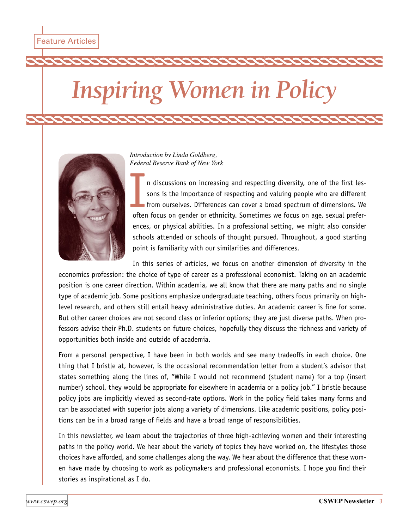# <span id="page-2-0"></span>*Inspiring Women in Policy*



*Introduction by Linda Goldberg, Federal Reserve Bank of New York*

In discussions on increasing and respecting diversity, one of the first lessons is the importance of respecting and valuing people who are different from ourselves. Differences can cover a broad spectrum of dimensions. We n discussions on increasing and respecting diversity, one of the first lessons is the importance of respecting and valuing people who are different from ourselves. Differences can cover a broad spectrum of dimensions. We ences, or physical abilities. In a professional setting, we might also consider schools attended or schools of thought pursued. Throughout, a good starting point is familiarity with our similarities and differences.

In this series of articles, we focus on another dimension of diversity in the economics profession: the choice of type of career as a professional economist. Taking on an academic position is one career direction. Within academia, we all know that there are many paths and no single type of academic job. Some positions emphasize undergraduate teaching, others focus primarily on highlevel research, and others still entail heavy administrative duties. An academic career is fine for some. But other career choices are not second class or inferior options; they are just diverse paths. When professors advise their Ph.D. students on future choices, hopefully they discuss the richness and variety of opportunities both inside and outside of academia.

From a personal perspective, I have been in both worlds and see many tradeoffs in each choice. One thing that I bristle at, however, is the occasional recommendation letter from a student's advisor that states something along the lines of, "While I would not recommend (student name) for a top (insert number) school, they would be appropriate for elsewhere in academia or a policy job." I bristle because policy jobs are implicitly viewed as second-rate options. Work in the policy field takes many forms and can be associated with superior jobs along a variety of dimensions. Like academic positions, policy positions can be in a broad range of fields and have a broad range of responsibilities.

In this newsletter, we learn about the trajectories of three high-achieving women and their interesting paths in the policy world. We hear about the variety of topics they have worked on, the lifestyles those choices have afforded, and some challenges along the way. We hear about the difference that these women have made by choosing to work as policymakers and professional economists. I hope you find their stories as inspirational as I do.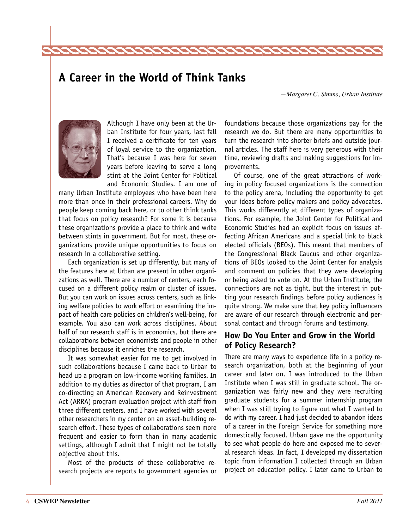### <span id="page-3-0"></span>**A Career in the World of Think Tanks**

22222

*—Margaret C. Simms, Urban Institute*



Although I have only been at the Urban Institute for four years, last fall I received a certificate for ten years of loyal service to the organization. That's because I was here for seven years before leaving to serve a long stint at the Joint Center for Political and Economic Studies. I am one of

many Urban Institute employees who have been here more than once in their professional careers. Why do people keep coming back here, or to other think tanks that focus on policy research? For some it is because these organizations provide a place to think and write between stints in government. But for most, these organizations provide unique opportunities to focus on research in a collaborative setting.

Each organization is set up differently, but many of the features here at Urban are present in other organizations as well. There are a number of centers, each focused on a different policy realm or cluster of issues. But you can work on issues across centers, such as linking welfare policies to work effort or examining the impact of health care policies on children's well-being, for example. You also can work across disciplines. About half of our research staff is in economics, but there are collaborations between economists and people in other disciplines because it enriches the research.

It was somewhat easier for me to get involved in such collaborations because I came back to Urban to head up a program on low-income working families. In addition to my duties as director of that program, I am co-directing an American Recovery and Reinvestment Act (ARRA) program evaluation project with staff from three different centers, and I have worked with several other researchers in my center on an asset-building research effort. These types of collaborations seem more frequent and easier to form than in many academic settings, although I admit that I might not be totally objective about this.

Most of the products of these collaborative research projects are reports to government agencies or

foundations because those organizations pay for the research we do. But there are many opportunities to turn the research into shorter briefs and outside journal articles. The staff here is very generous with their time, reviewing drafts and making suggestions for improvements.

Of course, one of the great attractions of working in policy focused organizations is the connection to the policy arena, including the opportunity to get your ideas before policy makers and policy advocates. This works differently at different types of organizations. For example, the Joint Center for Political and Economic Studies had an explicit focus on issues affecting African Americans and a special link to black elected officials (BEOs). This meant that members of the Congressional Black Caucus and other organizations of BEOs looked to the Joint Center for analysis and comment on policies that they were developing or being asked to vote on. At the Urban Institute, the connections are not as tight, but the interest in putting your research findings before policy audiences is quite strong. We make sure that key policy influencers are aware of our research through electronic and personal contact and through forums and testimony.

#### **How Do You Enter and Grow in the World of Policy Research?**

There are many ways to experience life in a policy research organization, both at the beginning of your career and later on. I was introduced to the Urban Institute when I was still in graduate school. The organization was fairly new and they were recruiting graduate students for a summer internship program when I was still trying to figure out what I wanted to do with my career. I had just decided to abandon ideas of a career in the Foreign Service for something more domestically focused. Urban gave me the opportunity to see what people do here and exposed me to several research ideas. In fact, I developed my dissertation topic from information I collected through an Urban project on education policy. I later came to Urban to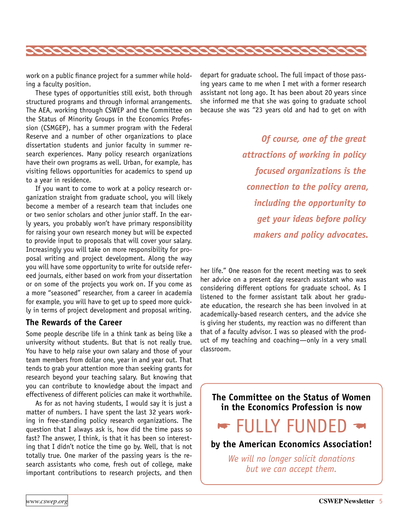

work on a public finance project for a summer while holding a faculty position.

These types of opportunities still exist, both through structured programs and through informal arrangements. The AEA, working through CSWEP and the Committee on the Status of Minority Groups in the Economics Profession (CSMGEP), has a summer program with the Federal Reserve and a number of other organizations to place dissertation students and junior faculty in summer research experiences. Many policy research organizations have their own programs as well. Urban, for example, has visiting fellows opportunities for academics to spend up to a year in residence.

If you want to come to work at a policy research organization straight from graduate school, you will likely become a member of a research team that includes one or two senior scholars and other junior staff. In the early years, you probably won't have primary responsibility for raising your own research money but will be expected to provide input to proposals that will cover your salary. Increasingly you will take on more responsibility for proposal writing and project development. Along the way you will have some opportunity to write for outside refereed journals, either based on work from your dissertation or on some of the projects you work on. If you come as a more "seasoned" researcher, from a career in academia for example, you will have to get up to speed more quickly in terms of project development and proposal writing.

#### **The Rewards of the Career**

Some people describe life in a think tank as being like a university without students. But that is not really true. You have to help raise your own salary and those of your team members from dollar one, year in and year out. That tends to grab your attention more than seeking grants for research beyond your teaching salary. But knowing that you can contribute to knowledge about the impact and effectiveness of different policies can make it worthwhile.

As for as not having students, I would say it is just a matter of numbers. I have spent the last 32 years working in free-standing policy research organizations. The question that I always ask is, how did the time pass so fast? The answer, I think, is that it has been so interesting that I didn't notice the time go by. Well, that is not totally true. One marker of the passing years is the research assistants who come, fresh out of college, make important contributions to research projects, and then

depart for graduate school. The full impact of those passing years came to me when I met with a former research assistant not long ago. It has been about 20 years since she informed me that she was going to graduate school because she was "23 years old and had to get on with

> *Of course, one of the great attractions of working in policy focused organizations is the connection to the policy arena, including the opportunity to get your ideas before policy makers and policy advocates.*

her life." One reason for the recent meeting was to seek her advice on a present day research assistant who was considering different options for graduate school. As I listened to the former assistant talk about her graduate education, the research she has been involved in at academically-based research centers, and the advice she is giving her students, my reaction was no different than that of a faculty advisor. I was so pleased with the product of my teaching and coaching—only in a very small classroom.

**The Committee on the Status of Women in the Economics Profession is now** 

# <u>r FULLY FUNDED</u>

**by the American Economics Association!** 

*We will no longer solicit donations but we can accept them.*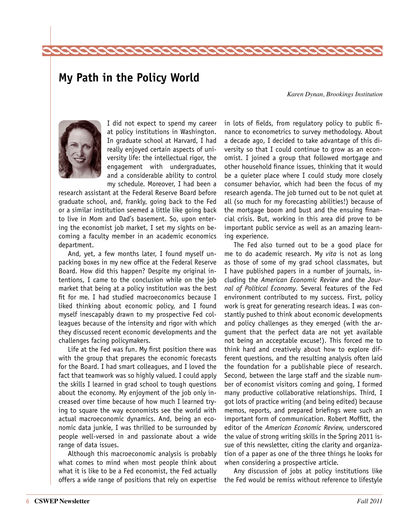### <span id="page-5-0"></span>**My Path in the Policy World**

*Karen Dynan, Brookings Institution*



I did not expect to spend my career at policy institutions in Washington. In graduate school at Harvard, I had really enjoyed certain aspects of university life: the intellectual rigor, the engagement with undergraduates, and a considerable ability to control my schedule. Moreover, I had been a

research assistant at the Federal Reserve Board before graduate school, and, frankly, going back to the Fed or a similar institution seemed a little like going back to live in Mom and Dad's basement. So, upon entering the economist job market, I set my sights on becoming a faculty member in an academic economics department.

And, yet, a few months later, I found myself unpacking boxes in my new office at the Federal Reserve Board. How did this happen? Despite my original intentions, I came to the conclusion while on the job market that being at a policy institution was the best fit for me. I had studied macroeconomics because I liked thinking about economic policy, and I found myself inescapably drawn to my prospective Fed colleagues because of the intensity and rigor with which they discussed recent economic developments and the challenges facing policymakers.

Life at the Fed was fun. My first position there was with the group that prepares the economic forecasts for the Board. I had smart colleagues, and I loved the fact that teamwork was so highly valued. I could apply the skills I learned in grad school to tough questions about the economy. My enjoyment of the job only increased over time because of how much I learned trying to square the way economists see the world with actual macroeconomic dynamics. And, being an economic data junkie, I was thrilled to be surrounded by people well-versed in and passionate about a wide range of data issues.

Although this macroeconomic analysis is probably what comes to mind when most people think about what it is like to be a Fed economist, the Fed actually offers a wide range of positions that rely on expertise in lots of fields, from regulatory policy to public finance to econometrics to survey methodology. About a decade ago, I decided to take advantage of this diversity so that I could continue to grow as an economist. I joined a group that followed mortgage and other household finance issues, thinking that it would be a quieter place where I could study more closely consumer behavior, which had been the focus of my research agenda. The job turned out to be not quiet at all (so much for my forecasting abilities!) because of the mortgage boom and bust and the ensuing financial crisis. But, working in this area did prove to be important public service as well as an amazing learning experience.

The Fed also turned out to be a good place for me to do academic research. My *vita* is not as long as those of some of my grad school classmates, but I have published papers in a number of journals, including the *American Economic Review* and the *Journal of Political Economy.* Several features of the Fed environment contributed to my success. First, policy work is great for generating research ideas. I was constantly pushed to think about economic developments and policy challenges as they emerged (with the argument that the perfect data are not yet available not being an acceptable excuse!). This forced me to think hard and creatively about how to explore different questions, and the resulting analysis often laid the foundation for a publishable piece of research. Second, between the large staff and the sizable number of economist visitors coming and going, I formed many productive collaborative relationships. Third, I got lots of practice writing (and being edited) because memos, reports, and prepared briefings were such an important form of communication. Robert Moffitt, the editor of the *American Economic Review,* underscored the value of strong writing skills in the Spring 2011 issue of this newsletter, citing the clarity and organization of a paper as one of the three things he looks for when considering a prospective article.

Any discussion of jobs at policy institutions like the Fed would be remiss without reference to lifestyle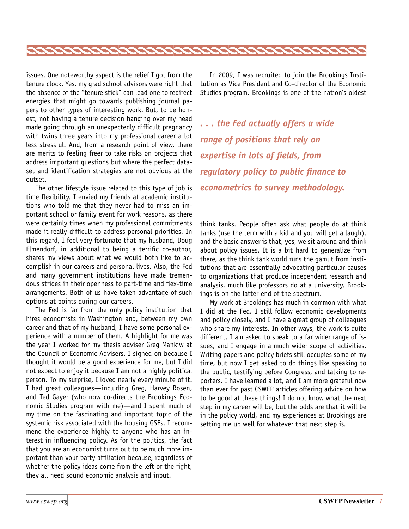

issues. One noteworthy aspect is the relief I got from the tenure clock. Yes, my grad school advisors were right that the absence of the "tenure stick" can lead one to redirect energies that might go towards publishing journal papers to other types of interesting work. But, to be honest, not having a tenure decision hanging over my head made going through an unexpectedly difficult pregnancy with twins three years into my professional career a lot less stressful. And, from a research point of view, there are merits to feeling freer to take risks on projects that address important questions but where the perfect dataset and identification strategies are not obvious at the outset.

The other lifestyle issue related to this type of job is time flexibility. I envied my friends at academic institutions who told me that they never had to miss an important school or family event for work reasons, as there were certainly times when my professional commitments made it really difficult to address personal priorities. In this regard, I feel very fortunate that my husband, Doug Elmendorf, in additional to being a terrific co-author, shares my views about what we would both like to accomplish in our careers and personal lives. Also, the Fed and many government institutions have made tremendous strides in their openness to part-time and flex-time arrangements. Both of us have taken advantage of such options at points during our careers.

The Fed is far from the only policy institution that hires economists in Washington and, between my own career and that of my husband, I have some personal experience with a number of them. A highlight for me was the year I worked for my thesis adviser Greg Mankiw at the Council of Economic Advisers. I signed on because I thought it would be a good experience for me, but I did not expect to enjoy it because I am not a highly political person. To my surprise, I loved nearly every minute of it. I had great colleagues—including Greg, Harvey Rosen, and Ted Gayer (who now co-directs the Brookings Economic Studies program with me)—and I spent much of my time on the fascinating and important topic of the systemic risk associated with the housing GSEs. I recommend the experience highly to anyone who has an interest in influencing policy. As for the politics, the fact that you are an economist turns out to be much more important than your party affiliation because, regardless of whether the policy ideas come from the left or the right, they all need sound economic analysis and input.

In 2009, I was recruited to join the Brookings Institution as Vice President and Co-director of the Economic Studies program. Brookings is one of the nation's oldest

*. . . the Fed actually offers a wide range of positions that rely on expertise in lots of fields, from regulatory policy to public finance to econometrics to survey methodology.*

think tanks. People often ask what people do at think tanks (use the term with a kid and you will get a laugh), and the basic answer is that, yes, we sit around and think about policy issues. It is a bit hard to generalize from there, as the think tank world runs the gamut from institutions that are essentially advocating particular causes to organizations that produce independent research and analysis, much like professors do at a university. Brookings is on the latter end of the spectrum.

My work at Brookings has much in common with what I did at the Fed. I still follow economic developments and policy closely, and I have a great group of colleagues who share my interests. In other ways, the work is quite different. I am asked to speak to a far wider range of issues, and I engage in a much wider scope of activities. Writing papers and policy briefs still occupies some of my time, but now I get asked to do things like speaking to the public, testifying before Congress, and talking to reporters. I have learned a lot, and I am more grateful now than ever for past CSWEP articles offering advice on how to be good at these things! I do not know what the next step in my career will be, but the odds are that it will be in the policy world, and my experiences at Brookings are setting me up well for whatever that next step is.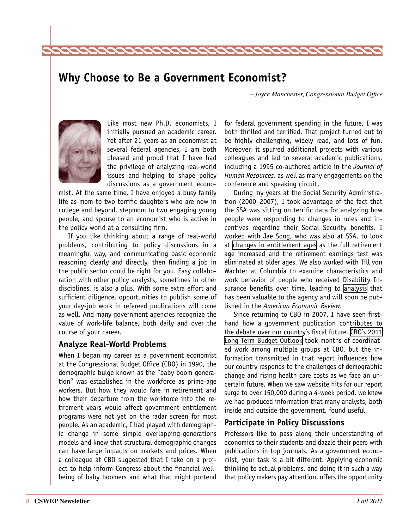### <span id="page-7-0"></span>**Why Choose to Be a Government Economist?**

*—Joyce Manchester, Congressional Budget Office* 



Like most new Ph.D. economists, I initially pursued an academic career. Yet after 21 years as an economist at several federal agencies, I am both pleased and proud that I have had the privilege of analyzing real-world issues and helping to shape policy discussions as a government econo-

mist. At the same time, I have enjoyed a busy family life as mom to two terrific daughters who are now in college and beyond, stepmom to two engaging young people, and spouse to an economist who is active in the policy world at a consulting firm.

If you like thinking about a range of real-world problems, contributing to policy discussions in a meaningful way, and communicating basic economic reasoning clearly and directly, then finding a job in the public sector could be right for you. Easy collaboration with other policy analysts, sometimes in other disciplines, is also a plus. With some extra effort and sufficient diligence, opportunities to publish some of your day-job work in refereed publications will come as well. And many government agencies recognize the value of work-life balance, both daily and over the course of your career.

#### **Analyze Real-World Problems**

When I began my career as a government economist at the Congressional Budget Office (CBO) in 1990, the demographic bulge known as the "baby boom generation" was established in the workforce as prime-age workers. But how they would fare in retirement and how their departure from the workforce into the retirement years would affect government entitlement programs were not yet on the radar screen for most people. As an academic, I had played with demographic change in some simple overlapping-generations models and knew that structural demographic changes can have large impacts on markets and prices. When a colleague at CBO suggested that I take on a project to help inform Congress about the financial wellbeing of baby boomers and what that might portend

for federal government spending in the future, I was both thrilled and terrified. That project turned out to be highly challenging, widely read, and lots of fun. Moreover, it spurred additional projects with various colleagues and led to several academic publications, including a 1995 co-authored article in the *Journal of Human Resources,* as well as many engagements on the conference and speaking circuit.

During my years at the Social Security Administration (2000–2007), I took advantage of the fact that the SSA was sitting on terrific data for analyzing how people were responding to changes in rules and incentives regarding their Social Security benefits. I worked with Jae Song, who was also at SSA, to look at [changes in entitlement ages](http://www.ssa.gov/policy/docs/ssb/v67n2/v67n2p1.pdf) as the full retirement age increased and the retirement earnings test was eliminated at older ages. We also worked with Till von Wachter at Columbia to examine characteristics and work behavior of people who received Disability Insurance benefits over time, leading to [analysis](http://www.columbia.edu/~vw2112/papers/dissa_vwjsjm_final.pdf) that has been valuable to the agency and will soon be published in the *American Economic Review.*

Since returning to CBO in 2007, I have seen firsthand how a government publication contributes to the debate over our country's fiscal future. [CBO's 2011](http://www.cbo.gov/ftpdocs/122xx/doc12212/06-21-Long-Term_Budget_Outlook.pdf)  [Long-Term Budget Outlook](http://www.cbo.gov/ftpdocs/122xx/doc12212/06-21-Long-Term_Budget_Outlook.pdf) took months of coordinated work among multiple groups at CBO, but the information transmitted in that report influences how our country responds to the challenges of demographic change and rising health care costs as we face an uncertain future. When we saw website hits for our report surge to over 150,000 during a 4-week period, we knew we had produced information that many analysts, both inside and outside the government, found useful.

#### **Participate in Policy Discussions**

Professors like to pass along their understanding of economics to their students and dazzle their peers with publications in top journals. As a government economist, your task is a bit different. Applying economic thinking to actual problems, and doing it in such a way that policy makers pay attention, offers the opportunity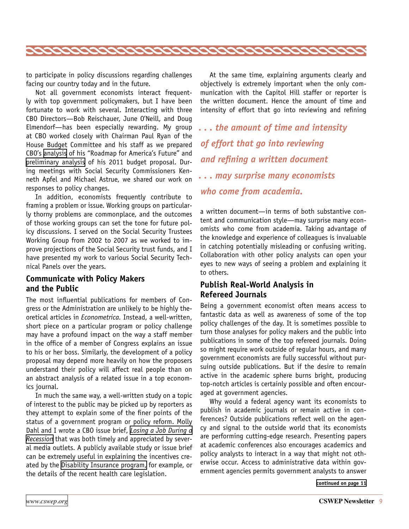<span id="page-8-0"></span>

to participate in policy discussions regarding challenges facing our country today and in the future.

Not all government economists interact frequently with top government policymakers, but I have been fortunate to work with several. Interacting with three CBO Directors—Bob Reischauer, June O'Neill, and Doug Elmendorf—has been especially rewarding. My group at CBO worked closely with Chairman Paul Ryan of the House Budget Committee and his staff as we prepared CBO's [analysis](http://www.cbo.gov/ftpdocs/108xx/doc10851/01-27-Ryan-Roadmap-Letter.pdf) of his "Roadmap for America's Future" and [preliminary analysis](http://www.cbo.gov/doc.cfm?index=12128) of his 2011 budget proposal. During meetings with Social Security Commissioners Kenneth Apfel and Michael Astrue, we shared our work on responses to policy changes.

In addition, economists frequently contribute to framing a problem or issue. Working groups on particularly thorny problems are commonplace, and the outcomes of those working groups can set the tone for future policy discussions. I served on the Social Security Trustees Working Group from 2002 to 2007 as we worked to improve projections of the Social Security trust funds, and I have presented my work to various Social Security Technical Panels over the years.

#### **Communicate with Policy Makers and the Public**

The most influential publications for members of Congress or the Administration are unlikely to be highly theoretical articles in *Econometrica.* Instead, a well-written, short piece on a particular program or policy challenge may have a profound impact on the way a staff member in the office of a member of Congress explains an issue to his or her boss. Similarly, the development of a policy proposal may depend more heavily on how the proposers understand their policy will affect real people than on an abstract analysis of a related issue in a top economics journal.

In much the same way, a well-written study on a topic of interest to the public may be picked up by reporters as they attempt to explain some of the finer points of the status of a government program or policy reform. Molly Dahl and I wrote a CBO issue brief, *[Losing a Job During a](http://www.cbo.gov/ftpdocs/114xx/doc11429/JobLoss_Brief.pdf)  [Recession](http://www.cbo.gov/ftpdocs/114xx/doc11429/JobLoss_Brief.pdf)* that was both timely and appreciated by several media outlets. A publicly available study or issue brief can be extremely useful in explaining the incentives created by the [Disability Insurance program,](http://www.cbo.gov/ftpdocs/116xx/doc11673/07-22-SSDisabilityIns_Brief.pdf) for example, or the details of the recent health care legislation.

At the same time, explaining arguments clearly and objectively is extremely important when the only communication with the Capitol Hill staffer or reporter is the written document. Hence the amount of time and intensity of effort that go into reviewing and refining

*. . . the amount of time and intensity of effort that go into reviewing and refining a written document . . . may surprise many economists who come from academia.*

a written document—in terms of both substantive content and communication style—may surprise many economists who come from academia. Taking advantage of the knowledge and experience of colleagues is invaluable in catching potentially misleading or confusing writing. Collaboration with other policy analysts can open your eyes to new ways of seeing a problem and explaining it to others.

#### **Publish Real-World Analysis in Refereed Journals**

Being a government economist often means access to fantastic data as well as awareness of some of the top policy challenges of the day. It is sometimes possible to turn those analyses for policy makers and the public into publications in some of the top refereed journals. Doing so might require work outside of regular hours, and many government economists are fully successful without pursuing outside publications. But if the desire to remain active in the academic sphere burns bright, producing top-notch articles is certainly possible and often encouraged at government agencies.

Why would a federal agency want its economists to publish in academic journals or remain active in conferences? Outside publications reflect well on the agency and signal to the outside world that its economists are performing cutting-edge research. Presenting papers at academic conferences also encourages academics and policy analysts to interact in a way that might not otherwise occur. Access to administrative data within government agencies permits government analysts to answer

**[continued on page 11](#page-10-0)**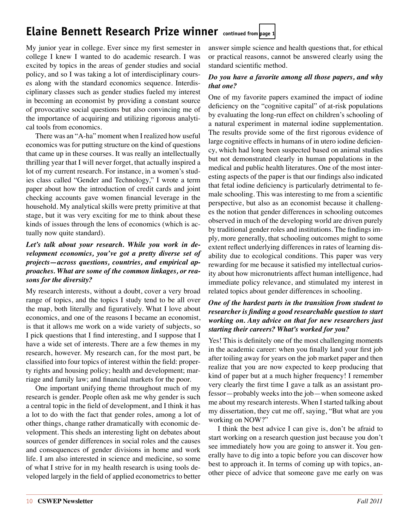### <span id="page-9-0"></span>**Elaine Bennett Research Prize winner continued from [page 1](#page-0-0)**

My junior year in college. Ever since my first semester in college I knew I wanted to do academic research. I was excited by topics in the areas of gender studies and social policy, and so I was taking a lot of interdisciplinary courses along with the standard economics sequence. Interdisciplinary classes such as gender studies fueled my interest in becoming an economist by providing a constant source of provocative social questions but also convincing me of the importance of acquiring and utilizing rigorous analytical tools from economics.

There was an "A-ha" moment when I realized how useful economics was for putting structure on the kind of questions that came up in these courses. It was really an intellectually thrilling year that I will never forget, that actually inspired a lot of my current research. For instance, in a women's studies class called "Gender and Technology," I wrote a term paper about how the introduction of credit cards and joint checking accounts gave women financial leverage in the household. My analytical skills were pretty primitive at that stage, but it was very exciting for me to think about these kinds of issues through the lens of economics (which is actually now quite standard).

#### *Let's talk about your research. While you work in development economics, you've got a pretty diverse set of projects—across questions, countries, and empirical approaches. What are some of the common linkages, or reasons for the diversity?*

My research interests, without a doubt, cover a very broad range of topics, and the topics I study tend to be all over the map, both literally and figuratively. What I love about economics, and one of the reasons I became an economist, is that it allows me work on a wide variety of subjects, so I pick questions that I find interesting, and I suppose that I have a wide set of interests. There are a few themes in my research, however. My research can, for the most part, be classified into four topics of interest within the field: property rights and housing policy; health and development; marriage and family law; and financial markets for the poor.

One important unifying theme throughout much of my research is gender. People often ask me why gender is such a central topic in the field of development, and I think it has a lot to do with the fact that gender roles, among a lot of other things, change rather dramatically with economic development. This sheds an interesting light on debates about sources of gender differences in social roles and the causes and consequences of gender divisions in home and work life. I am also interested in science and medicine, so some of what I strive for in my health research is using tools developed largely in the field of applied econometrics to better

answer simple science and health questions that, for ethical or practical reasons, cannot be answered clearly using the standard scientific method.

#### *Do you have a favorite among all those papers, and why that one?*

One of my favorite papers examined the impact of iodine deficiency on the "cognitive capital" of at-risk populations by evaluating the long-run effect on children's schooling of a natural experiment in maternal iodine supplementation. The results provide some of the first rigorous evidence of large cognitive effects in humans of in utero iodine deficiency, which had long been suspected based on animal studies but not demonstrated clearly in human populations in the medical and public health literatures. One of the most interesting aspects of the paper is that our findings also indicated that fetal iodine deficiency is particularly detrimental to female schooling. This was interesting to me from a scientific perspective, but also as an economist because it challenges the notion that gender differences in schooling outcomes observed in much of the developing world are driven purely by traditional gender roles and institutions. The findings imply, more generally, that schooling outcomes might to some extent reflect underlying differences in rates of learning disability due to ecological conditions. This paper was very rewarding for me because it satisfied my intellectual curiosity about how micronutrients affect human intelligence, had immediate policy relevance, and stimulated my interest in related topics about gender differences in schooling.

#### *One of the hardest parts in the transition from student to researcher is finding a good researchable question to start working on. Any advice on that for new researchers just starting their careers? What's worked for you?*

Yes! This is definitely one of the most challenging moments in the academic career: when you finally land your first job after toiling away for years on the job market paper and then realize that you are now expected to keep producing that kind of paper but at a much higher frequency! I remember very clearly the first time I gave a talk as an assistant professor—probably weeks into the job—when someone asked me about my research interests. When I started talking about my dissertation, they cut me off, saying, "But what are you working on NOW?"

I think the best advice I can give is, don't be afraid to start working on a research question just because you don't see immediately how you are going to answer it. You generally have to dig into a topic before you can discover how best to approach it. In terms of coming up with topics, another piece of advice that someone gave me early on was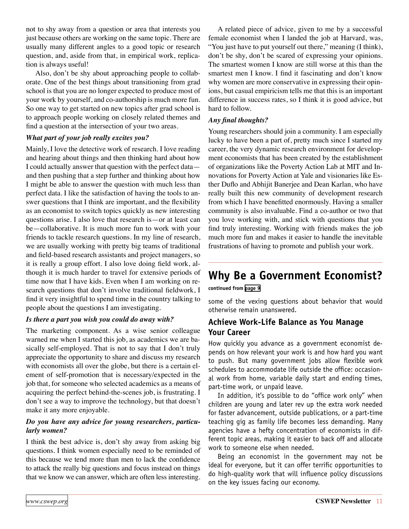<span id="page-10-0"></span>not to shy away from a question or area that interests you just because others are working on the same topic. There are usually many different angles to a good topic or research question, and, aside from that, in empirical work, replication is always useful!

Also, don't be shy about approaching people to collaborate. One of the best things about transitioning from grad school is that you are no longer expected to produce most of your work by yourself, and co-authorship is much more fun. So one way to get started on new topics after grad school is to approach people working on closely related themes and find a question at the intersection of your two areas.

#### *What part of your job really excites you?*

Mainly, I love the detective work of research. I love reading and hearing about things and then thinking hard about how I could actually answer that question with the perfect data and then pushing that a step further and thinking about how I might be able to answer the question with much less than perfect data. I like the satisfaction of having the tools to answer questions that I think are important, and the flexibility as an economist to switch topics quickly as new interesting questions arise. I also love that research is—or at least can be—collaborative. It is much more fun to work with your friends to tackle research questions. In my line of research, we are usually working with pretty big teams of traditional and field-based research assistants and project managers, so it is really a group effort. I also love doing field work, although it is much harder to travel for extensive periods of time now that I have kids. Even when I am working on research questions that don't involve traditional fieldwork, I find it very insightful to spend time in the country talking to people about the questions I am investigating.

#### *Is there a part you wish you could do away with?*

The marketing component. As a wise senior colleague warned me when I started this job, as academics we are basically self-employed. That is not to say that I don't truly appreciate the opportunity to share and discuss my research with economists all over the globe, but there is a certain element of self-promotion that is necessary/expected in the job that, for someone who selected academics as a means of acquiring the perfect behind-the-scenes job, is frustrating. I don't see a way to improve the technology, but that doesn't make it any more enjoyable.

#### *Do you have any advice for young researchers, particularly women?*

I think the best advice is, don't shy away from asking big questions. I think women especially need to be reminded of this because we tend more than men to lack the confidence to attack the really big questions and focus instead on things that we know we can answer, which are often less interesting.

A related piece of advice, given to me by a successful female economist when I landed the job at Harvard, was, "You just have to put yourself out there," meaning (I think), don't be shy, don't be scared of expressing your opinions. The smartest women I know are still worse at this than the smartest men I know. I find it fascinating and don't know why women are more conservative in expressing their opinions, but casual empiricism tells me that this is an important difference in success rates, so I think it is good advice, but hard to follow.

#### *Any final thoughts?*

Young researchers should join a community. I am especially lucky to have been a part of, pretty much since I started my career, the very dynamic research environment for development economists that has been created by the establishment of organizations like the Poverty Action Lab at MIT and Innovations for Poverty Action at Yale and visionaries like Esther Duflo and Abhijit Banerjee and Dean Karlan, who have really built this new community of development research from which I have benefitted enormously. Having a smaller community is also invaluable. Find a co-author or two that you love working with, and stick with questions that you find truly interesting. Working with friends makes the job much more fun and makes it easier to handle the inevitable frustrations of having to promote and publish your work.

### **Why Be a Government Economist?**

#### **continued from [page 9](#page-8-0)**

some of the vexing questions about behavior that would otherwise remain unanswered.

#### **Achieve Work-Life Balance as You Manage Your Career**

How quickly you advance as a government economist depends on how relevant your work is and how hard you want to push. But many government jobs allow flexible work schedules to accommodate life outside the office: occasional work from home, variable daily start and ending times, part-time work, or unpaid leave.

In addition, it's possible to do "office work only" when children are young and later rev up the extra work needed for faster advancement, outside publications, or a part-time teaching gig as family life becomes less demanding. Many agencies have a hefty concentration of economists in different topic areas, making it easier to back off and allocate work to someone else when needed.

Being an economist in the government may not be ideal for everyone, but it can offer terrific opportunities to do high-quality work that will influence policy discussions on the key issues facing our economy.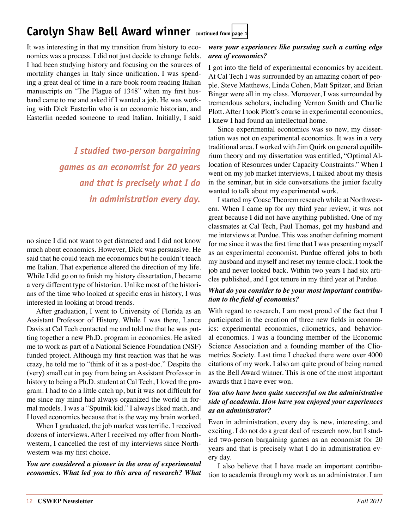### <span id="page-11-0"></span>**Carolyn Shaw Bell Award winner continued from [page 1](#page-0-0)**

It was interesting in that my transition from history to economics was a process. I did not just decide to change fields. I had been studying history and focusing on the sources of mortality changes in Italy since unification. I was spending a great deal of time in a rare book room reading Italian manuscripts on "The Plague of 1348" when my first husband came to me and asked if I wanted a job. He was working with Dick Easterlin who is an economic historian, and Easterlin needed someone to read Italian. Initially, I said

> *I studied two-person bargaining games as an economist for 20 years and that is precisely what I do in administration every day.*

no since I did not want to get distracted and I did not know much about economics. However, Dick was persuasive. He said that he could teach me economics but he couldn't teach me Italian. That experience altered the direction of my life. While I did go on to finish my history dissertation, I became a very different type of historian. Unlike most of the historians of the time who looked at specific eras in history, I was interested in looking at broad trends.

After graduation, I went to University of Florida as an Assistant Professor of History. While I was there, Lance Davis at Cal Tech contacted me and told me that he was putting together a new Ph.D. program in economics. He asked me to work as part of a National Science Foundation (NSF) funded project. Although my first reaction was that he was crazy, he told me to "think of it as a post-doc." Despite the (very) small cut in pay from being an Assistant Professor in history to being a Ph.D. student at Cal Tech, I loved the program. I had to do a little catch up, but it was not difficult for me since my mind had always organized the world in formal models. I was a "Sputnik kid." I always liked math, and I loved economics because that is the way my brain worked.

When I graduated, the job market was terrific. I received dozens of interviews. After I received my offer from Northwestern, I cancelled the rest of my interviews since Northwestern was my first choice.

*You are considered a pioneer in the area of experimental economics. What led you to this area of research? What* 

#### *were your experiences like pursuing such a cutting edge area of economics?*

I got into the field of experimental economics by accident. At Cal Tech I was surrounded by an amazing cohort of people. Steve Matthews, Linda Cohen, Matt Spitzer, and Brian Binger were all in my class. Moreover, I was surrounded by tremendous scholars, including Vernon Smith and Charlie Plott. After I took Plott's course in experimental economics, I knew I had found an intellectual home.

Since experimental economics was so new, my dissertation was not on experimental economics. It was in a very traditional area. I worked with Jim Quirk on general equilibrium theory and my dissertation was entitled, "Optimal Allocation of Resources under Capacity Constraints." When I went on my job market interviews, I talked about my thesis in the seminar, but in side conversations the junior faculty wanted to talk about my experimental work.

I started my Coase Theorem research while at Northwestern. When I came up for my third year review, it was not great because I did not have anything published. One of my classmates at Cal Tech, Paul Thomas, got my husband and me interviews at Purdue. This was another defining moment for me since it was the first time that I was presenting myself as an experimental economist. Purdue offered jobs to both my husband and myself and reset my tenure clock. I took the job and never looked back. Within two years I had six articles published, and I got tenure in my third year at Purdue.

#### *What do you consider to be your most important contribution to the field of economics?*

With regard to research, I am most proud of the fact that I participated in the creation of three new fields in economics: experimental economics, cliometrics, and behavioral economics. I was a founding member of the Economic Science Association and a founding member of the Cliometrics Society. Last time I checked there were over 4000 citations of my work. I also am quite proud of being named as the Bell Award winner. This is one of the most important awards that I have ever won.

#### *You also have been quite successful on the administrative side of academia. How have you enjoyed your experiences as an administrator?*

Even in administration, every day is new, interesting, and exciting. I do not do a great deal of research now, but I studied two-person bargaining games as an economist for 20 years and that is precisely what I do in administration every day.

I also believe that I have made an important contribution to academia through my work as an administrator. I am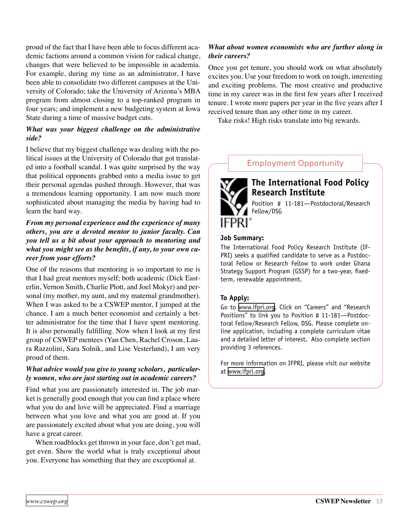proud of the fact that I have been able to focus different academic factions around a common vision for radical change, changes that were believed to be impossible in academia. For example, during my time as an administrator, I have been able to consolidate two different campuses at the University of Colorado; take the University of Arizona's MBA program from almost closing to a top-ranked program in four years; and implement a new budgeting system at Iowa State during a time of massive budget cuts.

#### *What was your biggest challenge on the administrative side?*

I believe that my biggest challenge was dealing with the political issues at the University of Colorado that got translated into a football scandal. I was quite surprised by the way that political opponents grabbed onto a media issue to get their personal agendas pushed through. However, that was a tremendous learning opportunity. I am now much more sophisticated about managing the media by having had to learn the hard way.

#### *From my personal experience and the experience of many others, you are a devoted mentor to junior faculty. Can you tell us a bit about your approach to mentoring and what you might see as the benefits, if any, to your own career from your efforts?*

One of the reasons that mentoring is so important to me is that I had great mentors myself; both academic (Dick Easterlin, Vernon Smith, Charlie Plott, and Joel Mokyr) and personal (my mother, my aunt, and my maternal grandmother). When I was asked to be a CSWEP mentor, I jumped at the chance. I am a much better economist and certainly a better administrator for the time that I have spent mentoring. It is also personally fulfilling. Now when I look at my first group of CSWEP mentees (Yan Chen, Rachel Croson, Laura Razzolini, Sara Solnik, and Lise Vesterlund), I am very proud of them.

#### *What advice would you give to young scholars, particularly women, who are just starting out in academic careers?*

Find what you are passionately interested in. The job market is generally good enough that you can find a place where what you do and love will be appreciated. Find a marriage between what you love and what you are good at. If you are passionately excited about what you are doing, you will have a great career.

When roadblocks get thrown in your face, don't get mad, get even. Show the world what is truly exceptional about you. Everyone has something that they are exceptional at.

#### *What about women economists who are further along in their careers?*

Once you get tenure, you should work on what absolutely excites you. Use your freedom to work on tough, interesting and exciting problems. The most creative and productive time in my career was in the first few years after I received tenure. I wrote more papers per year in the five years after I received tenure than any other time in my career.

Take risks! High risks translate into big rewards.

#### Employment Opportunity



#### **The International Food Policy Research Institute**

Position # 11-181—Postdoctoral/Research Fellow/DSG

#### **Job Summary:**

The International Food Policy Research Institute (IF-PRI) seeks a qualified candidate to serve as a Postdoctoral Fellow or Research Fellow to work under Ghana Strategy Support Program (GSSP) for a two-year, fixedterm, renewable appointment.

#### **To Apply:**

Go to [www.ifpri.org](http://www.ifpri.org). Click on "Careers" and "Research Positions" to link you to Position # 11-181—Postdoctoral Fellow/Research Fellow, DSG. Please complete online application, including a complete curriculum vitae and a detailed letter of interest. Also complete section providing 3 references.

For more information on IFPRI, please visit our website at [www.ifpri.org](http://www.ifpri.org).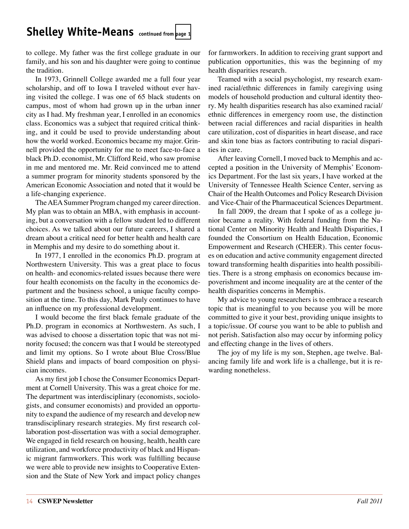### <span id="page-13-0"></span>**Shelley White-Means continued from [page 1](#page-0-0)**

to college. My father was the first college graduate in our family, and his son and his daughter were going to continue the tradition.

In 1973, Grinnell College awarded me a full four year scholarship, and off to Iowa I traveled without ever having visited the college. I was one of 65 black students on campus, most of whom had grown up in the urban inner city as I had. My freshman year, I enrolled in an economics class. Economics was a subject that required critical thinking, and it could be used to provide understanding about how the world worked. Economics became my major. Grinnell provided the opportunity for me to meet face-to-face a black Ph.D. economist, Mr. Clifford Reid, who saw promise in me and mentored me. Mr. Reid convinced me to attend a summer program for minority students sponsored by the American Economic Association and noted that it would be a life-changing experience.

The AEA Summer Program changed my career direction. My plan was to obtain an MBA, with emphasis in accounting, but a conversation with a fellow student led to different choices. As we talked about our future careers, I shared a dream about a critical need for better health and health care in Memphis and my desire to do something about it.

In 1977, I enrolled in the economics Ph.D. program at Northwestern University. This was a great place to focus on health- and economics-related issues because there were four health economists on the faculty in the economics department and the business school, a unique faculty composition at the time. To this day, Mark Pauly continues to have an influence on my professional development.

I would become the first black female graduate of the Ph.D. program in economics at Northwestern. As such, I was advised to choose a dissertation topic that was not minority focused; the concern was that I would be stereotyped and limit my options. So I wrote about Blue Cross/Blue Shield plans and impacts of board composition on physician incomes.

As my first job I chose the Consumer Economics Department at Cornell University. This was a great choice for me. The department was interdisciplinary (economists, sociologists, and consumer economists) and provided an opportunity to expand the audience of my research and develop new transdisciplinary research strategies. My first research collaboration post-dissertation was with a social demographer. We engaged in field research on housing, health, health care utilization, and workforce productivity of black and Hispanic migrant farmworkers. This work was fulfilling because we were able to provide new insights to Cooperative Extension and the State of New York and impact policy changes for farmworkers. In addition to receiving grant support and publication opportunities, this was the beginning of my health disparities research.

Teamed with a social psychologist, my research examined racial/ethnic differences in family caregiving using models of household production and cultural identity theory. My health disparities research has also examined racial/ ethnic differences in emergency room use, the distinction between racial differences and racial disparities in health care utilization, cost of disparities in heart disease, and race and skin tone bias as factors contributing to racial disparities in care.

After leaving Cornell, I moved back to Memphis and accepted a position in the University of Memphis' Economics Department. For the last six years, I have worked at the University of Tennessee Health Science Center, serving as Chair of the Health Outcomes and Policy Research Division and Vice-Chair of the Pharmaceutical Sciences Department.

In fall 2009, the dream that I spoke of as a college junior became a reality. With federal funding from the National Center on Minority Health and Health Disparities, I founded the Consortium on Health Education, Economic Empowerment and Research (CHEER). This center focuses on education and active community engagement directed toward transforming health disparities into health possibilities. There is a strong emphasis on economics because impoverishment and income inequality are at the center of the health disparities concerns in Memphis.

My advice to young researchers is to embrace a research topic that is meaningful to you because you will be more committed to give it your best, providing unique insights to a topic/issue. Of course you want to be able to publish and not perish. Satisfaction also may occur by informing policy and effecting change in the lives of others.

The joy of my life is my son, Stephen, age twelve. Balancing family life and work life is a challenge, but it is rewarding nonetheless.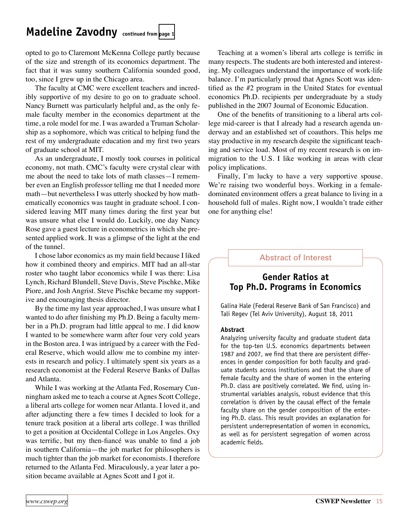### <span id="page-14-0"></span>**Madeline Zavodny continued from [page 1](#page-0-0)**

opted to go to Claremont McKenna College partly because of the size and strength of its economics department. The fact that it was sunny southern California sounded good, too, since I grew up in the Chicago area.

The faculty at CMC were excellent teachers and incredibly supportive of my desire to go on to graduate school. Nancy Burnett was particularly helpful and, as the only female faculty member in the economics department at the time, a role model for me. I was awarded a Truman Scholarship as a sophomore, which was critical to helping fund the rest of my undergraduate education and my first two years of graduate school at MIT.

As an undergraduate, I mostly took courses in political economy, not math. CMC's faculty were crystal clear with me about the need to take lots of math classes—I remember even an English professor telling me that I needed more math—but nevertheless I was utterly shocked by how mathematically economics was taught in graduate school. I considered leaving MIT many times during the first year but was unsure what else I would do. Luckily, one day Nancy Rose gave a guest lecture in econometrics in which she presented applied work. It was a glimpse of the light at the end of the tunnel.

I chose labor economics as my main field because I liked how it combined theory and empirics. MIT had an all-star roster who taught labor economics while I was there: Lisa Lynch, Richard Blundell, Steve Davis, Steve Pischke, Mike Piore, and Josh Angrist. Steve Pischke became my supportive and encouraging thesis director.

By the time my last year approached, I was unsure what I wanted to do after finishing my Ph.D. Being a faculty member in a Ph.D. program had little appeal to me. I did know I wanted to be somewhere warm after four very cold years in the Boston area. I was intrigued by a career with the Federal Reserve, which would allow me to combine my interests in research and policy. I ultimately spent six years as a research economist at the Federal Reserve Banks of Dallas and Atlanta.

While I was working at the Atlanta Fed, Rosemary Cunningham asked me to teach a course at Agnes Scott College, a liberal arts college for women near Atlanta. I loved it, and after adjuncting there a few times I decided to look for a tenure track position at a liberal arts college. I was thrilled to get a position at Occidental College in Los Angeles. Oxy was terrific, but my then-fiancé was unable to find a job in southern California—the job market for philosophers is much tighter than the job market for economists. I therefore returned to the Atlanta Fed. Miraculously, a year later a position became available at Agnes Scott and I got it.

Teaching at a women's liberal arts college is terrific in many respects. The students are both interested and interesting. My colleagues understand the importance of work-life balance. I'm particularly proud that Agnes Scott was identified as the #2 program in the United States for eventual economics Ph.D. recipients per undergraduate by a study published in the 2007 Journal of Economic Education.

One of the benefits of transitioning to a liberal arts college mid-career is that I already had a research agenda underway and an established set of coauthors. This helps me stay productive in my research despite the significant teaching and service load. Most of my recent research is on immigration to the U.S. I like working in areas with clear policy implications.

Finally, I'm lucky to have a very supportive spouse. We're raising two wonderful boys. Working in a femaledominated environment offers a great balance to living in a household full of males. Right now, I wouldn't trade either one for anything else!

#### Abstract of Interest

#### **Gender Ratios at Top Ph.D. Programs in Economics**

Galina Hale (Federal Reserve Bank of San Francisco) and Tali Regev (Tel Aviv University), August 18, 2011

#### **Abstract**

Analyzing university faculty and graduate student data for the top-ten U.S. economics departments between 1987 and 2007, we find that there are persistent differences in gender composition for both faculty and graduate students across institutions and that the share of female faculty and the share of women in the entering Ph.D. class are positively correlated. We find, using instrumental variables analysis, robust evidence that this correlation is driven by the causal effect of the female faculty share on the gender composition of the entering Ph.D. class. This result provides an explanation for persistent underrepresentation of women in economics, as well as for persistent segregation of women across academic fields.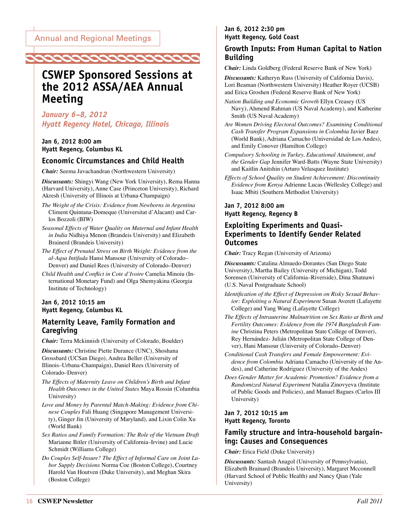<span id="page-15-0"></span>

### **CSWEP Sponsored Sessions at the 2012 ASSA/AEA Annual Meeting**

*January 6–8, 2012 Hyatt Regency Hotel, Chicago, Illinois*

**Jan 6, 2012 8:00 am Hyatt Regency, Columbus KL**

#### **Economic Circumstances and Child Health**

*Chair:* Seema Javachandran (Northwestern University)

*Discussants:* Shingyi Wang (New York University), Rema Hanna (Harvard University), Anne Case (Princeton University), Richard Akresh (University of Illinois at Urbana-Champaign)

- *The Weight of the Crisis: Evidence from Newborns in Argentina*  Climent Quintana-Domeque (Universitat d'Alacant) and Carlos Bozzoli (BIW)
- *Seasonal Effects of Water Quality on Maternal and Infant Health in India* Nidhiya Menon (Brandeis University) and Elizabeth Brainerd (Brandeis University)
- *The Effect of Prenatal Stress on Birth Weight: Evidence from the al-Aqsa Intifada* Hansi Mansour (University of Colorado– Denver) and Daniel Rees (University of Colorado–Denver)
- *Child Health and Conflict in Cote d'Ivoire* Camelia Minoiu (International Monetary Fund) and Olga Shemyakina (Georgia Institute of Technology)

#### **Jan 6, 2012 10:15 am Hyatt Regency, Columbus KL**

#### **Maternity Leave, Family Formation and Caregiving**

*Chair:* Terra Mckinnish (University of Colorado, Boulder)

*Discussants:* Christine Piette Durance (UNC), Shoshana Grossbard (UCSan Diego), Andrea Beller (University of Illinois–Urbana-Champaign), Daniel Rees (University of Colorado–Denver)

*The Effects of Maternity Leave on Children's Birth and Infant Health Outcomes in the United States* Maya Rossin (Columbia University)

- *Love and Money by Parental Match-Making: Evidence from Chinese Couples* Fali Huang (Singapore Management University), Ginger Jin (University of Maryland), and Lixin Colin Xu (World Bank)
- *Sex Ratios and Family Formation: The Role of the Vietnam Draft*  Marianne Bitler (University of California–Irvine) and Lucie Schmidt (Williams College)

*Do Couples Self-Insure? The Effect of Informal Care on Joint Labor Supply Decisions* Norma Coe (Boston College), Courtney Harold Van Houtven (Duke University), and Meghan Skira (Boston College)

#### **Jan 6, 2012 2:30 pm Hyatt Regency, Gold Coast**

#### **Growth Inputs: From Human Capital to Nation Building**

*Chair:* Linda Goldberg (Federal Reserve Bank of New York)

*Discussants:* Katheryn Russ (University of California Davis), Lori Beaman (Northwestern University) Heather Royer (UCSB) and Erica Groshen (Federal Reserve Bank of New York)

- *Nation Building and Economic Growth* Ellyn Creasey (US Navy), Ahmend Rahman (US Naval Academy), and Katherine Smith (US Naval Academy)
- *Are Women Driving Electoral Outcomes? Examining Conditional Cash Transfer Program Expansions in Colombia* Javier Baez (World Bank), Adriana Camacho (Universidad de Los Andes), and Emily Conover (Hamilton College)
- *Compulsory Schooling in Turkey, Educational Attainment, and the Gender Gap* Jennifer Ward-Batts (Wayne State University) and Kaitlin Anitshin (Arturo Velasquez Institute)
- *Effects of School Quality on Student Achievement: Discontinuity Evidence from Kenya* Adrienne Lucas (Wellesley College) and Isaac Mbiti (Southern Methodist University)

#### **Jan 7, 2012 8:00 am Hyatt Regency, Regency B**

#### **Exploiting Experiments and Quasi-Experiments to Identify Gender Related Outcomes**

*Chair:* Tracy Regan (University of Arizona)

*Discussants:* Catalina Almuedo-Dorantes (San Diego State University), Martha Bailey (University of Michigan), Todd Sorensen (University of California–Riverside), Dina Shatnawi (U.S. Naval Postgraduate School)

- *Identification of the Effect of Depression on Risky Sexual Behavior: Exploiting a Natural Experiment* Susan Averett (Lafayette College) and Yang Wang (Lafayette College)
- *The Effects of Intrauterine Malnutrition on Sex Ratio at Birth and Fertility Outcomes: Evidence from the 1974 Bangladesh Famine* Christina Peters (Metropolitan State College of Denver), Rey Hernández- Julián (Metropolitan State College of Denver), Hani Mansour (University of Colorado–Denver)
- *Conditional Cash Transfers and Female Empowerment: Evidence from Colombia* Adriana Camacho (University of the Andes), and Catherine Rodriguez (University of the Andes)
- *Does Gender Matter for Academic Promotion? Evidence from a Randomized Natural Experiment* Natalia Zinovyeva (Institute of Public Goods and Policies), and Manuel Bagues (Carlos III University)

#### **Jan 7, 2012 10:15 am Hyatt Regency, Toronto**

#### **Family structure and intra-household bargaining: Causes and Consequences**

*Chair:* Erica Field (Duke University)

*Discussants:* Santash Anagol (University of Pennsylvania), Elizabeth Brainard (Brandeis University), Margaret Mcconnell (Harvard School of Public Health) and Nancy Qian (Yale University)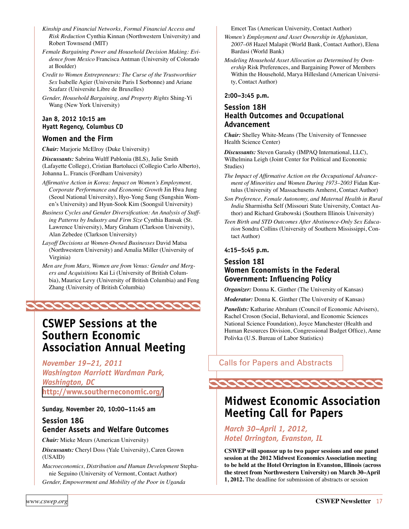<span id="page-16-0"></span>*Kinship and Financial Networks, Formal Financial Access and Risk Reduction* Cynthia Kinnan (Northwestern University) and Robert Townsend (MIT)

*Female Bargaining Power and Household Decision Making: Evidence from Mexico* Francisca Antman (University of Colorado at Boulder)

*Credit to Women Entrepreneurs: The Curse of the Trustworthier Sex* Isabelle Agier (Universite Paris I Sorbonne) and Ariane Szafarz (Universite Libre de Bruxelles)

*Gender, Household Bargaining, and Property Rights* Shing-Yi Wang (New York University)

#### **Jan 8, 2012 10:15 am Hyatt Regency, Columbus CD**

#### **Women and the Firm**

*Chair:* Marjorie McElroy (Duke University)

*Discussants:* Sabrina Wulff Pablonia (BLS), Julie Smith (Lafayette College), Cristian Bartolucci (Collegio Carlo Alberto), Johanna L. Francis (Fordham University)

*Affirmative Action in Korea: Impact on Women's Employment, Corporate Performance and Economic Growth* Jin Hwa Jung (Seoul National University), Hyo-Yong Sung (Sungshin Women's University) and Hyun-Sook Kim (Soongsil University)

*Business Cycles and Gender Diversification: An Analysis of Staffing Patterns by Industry and Firm Size* Cynthia Bansak (St. Lawrence University), Mary Graham (Clarkson University), Alan Zebedee (Clarkson University)

- *Layoff Decisions at Women-Owned Businesses* David Matsa (Northwestern University) and Amalia Miller (University of Virginia)
- *Men are from Mars, Women are from Venus: Gender and Mergers and Acquisitions* Kai Li (University of British Columbia), Maurice Levy (University of British Columbia) and Feng Zhang (University of British Columbia)



### **CSWEP Sessions at the Southern Economic Association Annual Meeting**

*November 19–21, 2011 Washington Marriott Wardman Park, Washington, DC* **<http://www.southerneconomic.org/>**

**Sunday, November 20, 10:00–11:45 am** 

#### **Session 18G Gender Assets and Welfare Outcomes**

*Chair:* Mieke Meurs (American University)

*Discussants:* Cheryl Doss (Yale University), Caren Grown (USAID)

*Macroeconomics, Distribution and Human Development* Stephanie Seguino (University of Vermont, Contact Author) *Gender, Empowerment and Mobility of the Poor in Uganda* 

Emcet Tas (American University, Contact Author)

*Women's Employment and Asset Ownership in Afghanistan, 2007–08* Hazel Malapit (World Bank, Contact Author), Elena Bardasi (World Bank)

*Modeling Household Asset Allocation as Determined by Ownership* Risk Preferences, and Bargaining Power of Members Within the Household, Marya Hillesland (American University, Contact Author)

#### **2:00–3:45 p.m.**

#### **Session 18H Health Outcomes and Occupational Advancement**

*Chair:* Shelley White-Means (The University of Tennessee Health Science Center)

*Discussants:* Steven Garasky (IMPAQ International, LLC), Wilhelmina Leigh (Joint Center for Political and Economic Studies)

- *The Impact of Affirmative Action on the Occupational Advancement of Minorities and Women During 1973–2003* Fidan Kurtulus (University of Massachusetts Amherst, Contact Author)
- *Son Preference, Female Autonomy, and Maternal Health in Rural India* Sharmistha Self (Missouri State University, Contact Author) and Richard Grabowski (Southern Illinois University)
- *Teen Birth and STD Outcomes After Abstinence-Only Sex Education* Sondra Collins (University of Southern Mississippi, Contact Author)

#### **4:15–5:45 p.m.**

#### **Session 18I Women Economists in the Federal**

### **Government: Influencing Policy**

*Organizer:* Donna K. Ginther (The University of Kansas)

*Moderator:* Donna K. Ginther (The University of Kansas)

*Panelists:* Katharine Abraham (Council of Economic Advisers), Rachel Croson (Social, Behavioral, and Economic Sciences National Science Foundation), Joyce Manchester (Health and Human Resources Division, Congressional Budget Office), Anne Polivka (U.S. Bureau of Labor Statistics)

Calls for Papers and Abstracts



### **Midwest Economic Association Meeting Call for Papers**

#### *March 30–April 1, 2012, Hotel Orrington, Evanston, IL*

**CSWEP will sponsor up to two paper sessions and one panel session at the 2012 Midwest Economics Association meeting to be held at the Hotel Orrington in Evanston, Illinois (across the street from Northwestern University) on March 30–April 1, 2012.** The deadline for submission of abstracts or session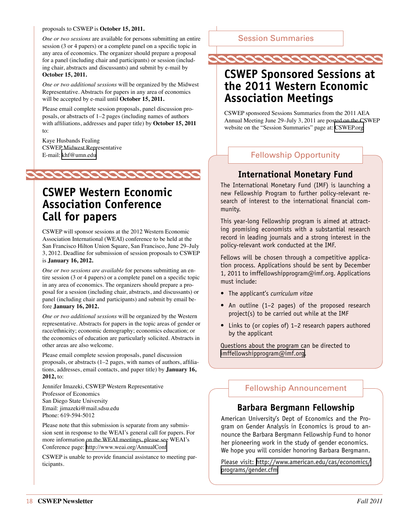#### <span id="page-17-0"></span>proposals to CSWEP is **October 15, 2011.**

*One or two sessions* are available for persons submitting an entire session (3 or 4 papers) or a complete panel on a specific topic in any area of economics. The organizer should prepare a proposal for a panel (including chair and participants) or session (including chair, abstracts and discussants) and submit by e-mail by **October 15, 2011.**

*One or two additional sessions* will be organized by the Midwest Representative. Abstracts for papers in any area of economics will be accepted by e-mail until **October 15, 2011.**

Please email complete session proposals, panel discussion proposals, or abstracts of 1–2 pages (including names of authors with affiliations, addresses and paper title) by **October 15, 2011**  to:

Kaye Husbands Fealing CSWEP Midwest Representative E-mail: [khf@umn.edu](mailto:khf%40umn.edu?subject=)



### **CSWEP Western Economic Association Conference Call for papers**

CSWEP will sponsor sessions at the 2012 Western Economic Association International (WEAI) conference to be held at the San Francisco Hilton Union Square, San Francisco, June 29–July 3, 2012. Deadline for submission of session proposals to CSWEP is **January 16, 2012.**

*One or two sessions are available* for persons submitting an entire session (3 or 4 papers) or a complete panel on a specific topic in any area of economics. The organizers should prepare a proposal for a session (including chair, abstracts, and discussants) or panel (including chair and participants) and submit by email before **January 16, 2012.** 

*One or two additional sessions* will be organized by the Western representative. Abstracts for papers in the topic areas of gender or race/ethnicity; economic demography; economics education; or the economics of education are particularly solicited. Abstracts in other areas are also welcome.

Please email complete session proposals, panel discussion proposals, or abstracts (1–2 pages, with names of authors, affiliations, addresses, email contacts, and paper title) by **January 16, 2012,** to:

Jennifer Imazeki, CSWEP Western Representative Professor of Economics San Diego State University Email: jimazeki@mail.sdsu.edu Phone: 619-594-5012

Please note that this submission is separate from any submission sent in response to the WEAI's general call for papers. For more information on the WEAI meetings, please see WEAI's Conference page: <http://www.weai.org/AnnualConf>

CSWEP is unable to provide financial assistance to meeting participants.

#### Session Summaries



### **CSWEP Sponsored Sessions at the 2011 Western Economic Association Meetings**

CSWEP sponsored Sessions Summaries from the 2011 AEA Annual Meeting June 29–July 3, 2011 are posted on the CSWEP website on the "Session Summaries" page at: [CSWEP.org](http://www.aeaweb.org/committees/cswep/session_summaries.php)

#### Fellowship Opportunity

#### **International Monetary Fund**

The International Monetary Fund (IMF) is launching a new Fellowship Program to further policy-relevant research of interest to the international financial community.

This year-long Fellowship program is aimed at attracting promising economists with a substantial research record in leading journals and a strong interest in the policy-relevant work conducted at the IMF.

Fellows will be chosen through a competitive application process. Applications should be sent by December 1, 2011 to imffellowshipprogram@imf.org. Applications must include:

- • The applicant's *curriculum vitae*
- An outline (1-2 pages) of the proposed research project(s) to be carried out while at the IMF
- Links to (or copies of) 1-2 research papers authored by the applicant

Questions about the program can be directed to [imffellowshipprogram@imf.org.](mailto:imffellowshipprogram%40imf.org?subject=)

#### Fellowship Announcement

#### **Barbara Bergmann Fellowship**

American University's Dept of Economics and the Program on Gender Analysis in Economics is proud to announce the Barbara Bergmann Fellowship Fund to honor her pioneering work in the study of gender economics. We hope you will consider honoring Barbara Bergmann.

Please visit: [http://www.american.edu/cas/economics/](http://www.american.edu/cas/economics/programs/gender.cfm) [programs/gender.cfm](http://www.american.edu/cas/economics/programs/gender.cfm)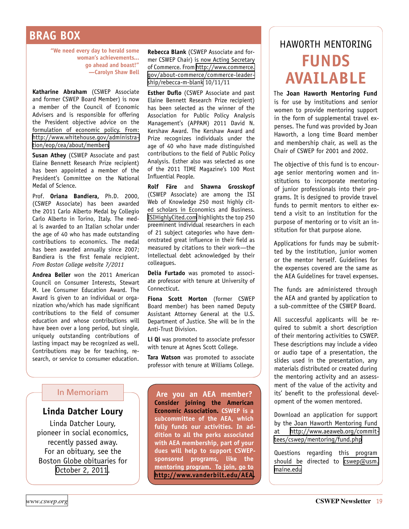### <span id="page-18-0"></span>**BRAG BOX**

**"We need every day to herald some woman's achievements... go ahead and boast!" —Carolyn Shaw Bell**

**Katharine Abraham** (CSWEP Associate and former CSWEP Board Member) is now a member of the Council of Economic Advisers and is responsible for offering the President objective advice on the formulation of economic policy. From: [http://www.whitehouse.gov/administra](http://www.whitehouse.gov/administration/eop/cea/about/members/#Rouse)[tion/eop/cea/about/members](http://www.whitehouse.gov/administration/eop/cea/about/members/#Rouse)

**Susan Athey** (CSWEP Associate and past Elaine Bennett Research Prize recipient) has been appointed a member of the President's Committee on the National Medal of Science.

Prof. **Oriana Bandiera,** Ph.D. 2000, (CSWEP Associate) has been awarded the 2011 Carlo Alberto Medal by Collegio Carlo Alberto in Torino, Italy. The medal is awarded to an Italian scholar under the age of 40 who has made outstanding contributions to economics. The medal has been awarded annually since 2007; Bandiera is the first female recipient. *From Boston College website 7/2011*

**Andrea Beller** won the 2011 American Council on Consumer Interests, Stewart M. Lee Consumer Education Award. The Award is given to an individual or organization who/which has made significant contributions to the field of consumer education and whose contributions will have been over a long period, but single, uniquely outstanding contributions of lasting impact may be recognized as well. Contributions may be for teaching, research, or service to consumer education. **Rebecca Blank** (CSWEP Associate and former CSWEP Chair) is now Acting Secretary of Commerce. From [http://www.commerce.](http://www.commerce.gov/about-commerce/commerce-leadership/rebecca-m-blank) [gov/about-commerce/commerce-leader](http://www.commerce.gov/about-commerce/commerce-leadership/rebecca-m-blank)[ship/rebecca-m-blank](http://www.commerce.gov/about-commerce/commerce-leadership/rebecca-m-blank) 10/11/11

**Esther Duflo** (CSWEP Associate and past Elaine Bennett Research Prize recipient) has been selected as the winner of the Association for Public Policy Analysis Management's (APPAM) 2011 David N. Kershaw Award. The Kershaw Award and Prize recognizes individuals under the age of 40 who have made distinguished contributions to the field of Public Policy Analysis. Esther also was selected as one of the 2011 TIME Magazine's 100 Most Influential People.

**Rolf Färe** and **Shawna Grosskopf**  (CSWEP Associate) are among the ISI Web of Knowledge 250 most highly cited scholars in Economics and Business. [ISIHighlyCited.com](http://isihighlycited.com) highlights the top 250 preeminent individual researchers in each of 21 subject categories who have demonstrated great influence in their field as measured by citations to their work—the intellectual debt acknowledged by their colleagues.

**Delia Furtado** was promoted to associate professor with tenure at University of Connecticut.

**Fiona Scott Morton** (former CSWEP Board member) has been named Deputy Assistant Attorney General at the U.S. Department of Justice. She will be in the Anti-Trust Division.

Li Qi was promoted to associate professor with tenure at Agnes Scott College.

**Tara Watson** was promoted to associate professor with tenure at Williams College.

#### In Memoriam

#### **Linda Datcher Loury**

Linda Datcher Loury, pioneer in social economics, recently passed away. For an obituary, see the Boston Globe obituaries for [October 2, 2011](http://www.boston.com/bostonglobe/obituaries/articles/2011/10/02/linda_datcher_loury_59_pioneer_in_social_economics/?rss_id=Boston+Globe+--+Obituaries).

**Are you an AEA member? Consider joining the American Economic Association. CSWEP is a subcommittee of the AEA, which fully funds our activities. In addition to all the perks associated with AEA membership, part of your dues will help to support CSWEPsponsored programs, like the mentoring program. To join, go to <http://www.vanderbilt.edu/AEA>.**

## Haworth Mentoring **Funds Available**

The **Joan Haworth Mentoring Fund** is for use by institutions and senior women to provide mentoring support in the form of supplemental travel expenses. The fund was provided by Joan Haworth, a long time Board member and membership chair, as well as the Chair of CSWEP for 2001 and 2002.

The objective of this fund is to encourage senior mentoring women and institutions to incorporate mentoring of junior professionals into their programs. It is designed to provide travel funds to permit mentors to either extend a visit to an institution for the purpose of mentoring or to visit an institution for that purpose alone.

Applications for funds may be submitted by the institution, junior women or the mentor herself. Guidelines for the expenses covered are the same as the AEA Guidelines for travel expenses.

The funds are administered through the AEA and granted by application to a sub-committee of the CSWEP Board.

All successful applicants will be required to submit a short description of their mentoring activities to CSWEP. These descriptions may include a video or audio tape of a presentation, the slides used in the presentation, any materials distributed or created during the mentoring activity and an assessment of the value of the activity and its' benefit to the professional development of the women mentored.

Download an application for support by the Joan Haworth Mentoring Fund at [http://www.aeaweb.org/commit](http://www.aeaweb.org/committees/cswep/mentoring/fund.php)[tees/cswep/mentoring/fund.php](http://www.aeaweb.org/committees/cswep/mentoring/fund.php)

Questions regarding this program should be directed to [cswep@usm.](mailto:cswep%40usm.maine.edu?subject=) [maine.edu](mailto:cswep%40usm.maine.edu?subject=)